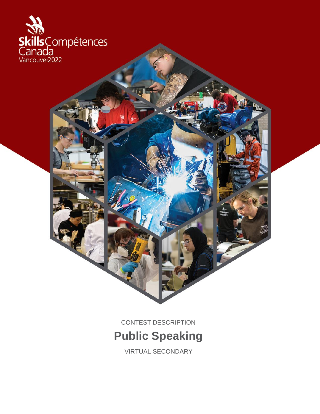

CONTEST DESCRIPTION

**Public Speaking**

VIRTUAL SECONDARY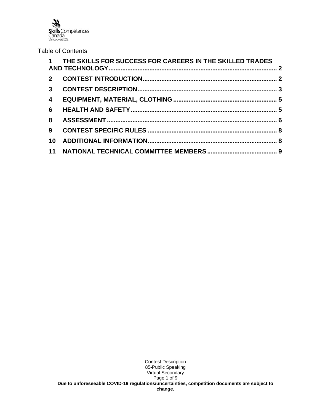**Skills** Compétences<br>Canada<br><sub>Vancouver2022</sub>

### Table of Contents

|                | 1 THE SKILLS FOR SUCCESS FOR CAREERS IN THE SKILLED TRADES |  |
|----------------|------------------------------------------------------------|--|
| $2^{\circ}$    |                                                            |  |
| 3 <sup>1</sup> |                                                            |  |
| $\overline{4}$ |                                                            |  |
| 6              |                                                            |  |
| 8              |                                                            |  |
| 9              |                                                            |  |
| 10             |                                                            |  |
|                |                                                            |  |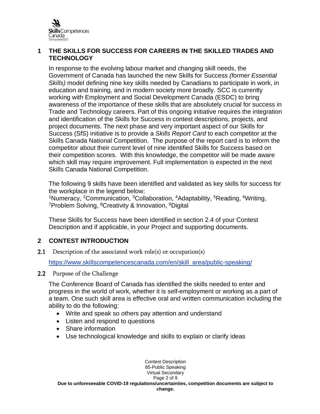

### **1 THE SKILLS FOR SUCCESS FOR CAREERS IN THE SKILLED TRADES AND TECHNOLOGY**

In response to the evolving labour market and changing skill needs, the Government of Canada has launched the new Skills for Success *(former Essential Skills)* model defining nine key skills needed by Canadians to participate in work, in education and training, and in modern society more broadly. SCC is currently working with Employment and Social Development Canada (ESDC) to bring awareness of the importance of these skills that are absolutely crucial for success in Trade and Technology careers. Part of this ongoing initiative requires the integration and identification of the Skills for Success in contest descriptions, projects, and project documents. The next phase and very important aspect of our Skills for Success (SfS) initiative is to provide a *Skills Report Card* to each competitor at the Skills Canada National Competition. The purpose of the report card is to inform the competitor about their current level of nine identified Skills for Success based on their competition scores. With this knowledge, the competitor will be made aware which skill may require improvement. Full implementation is expected in the next Skills Canada National Competition.

The following 9 skills have been identified and validated as key skills for success for the workplace in the legend below:

<sup>1</sup>Numeracy, <sup>2</sup>Communication, <sup>3</sup>Collaboration, <sup>4</sup>Adaptability, <sup>5</sup>Reading, <sup>6</sup>Writing, <sup>7</sup>Problem Solving, <sup>8</sup>Creativity & Innovation, <sup>9</sup>Digital

These Skills for Success have been identified in section 2.4 of your Contest Description and if applicable, in your Project and supporting documents.

# **2 CONTEST INTRODUCTION**

**2.1** Description of the associated work role(s) or occupation(s)

[https://www.skillscompetencescanada.com/en/skill\\_area/public-speaking/](https://www.skillscompetencescanada.com/en/skill_area/public-speaking/)

2.2 Purpose of the Challenge

The Conference Board of Canada has identified the skills needed to enter and progress in the world of work, whether it is self-employment or working as a part of a team. One such skill area is effective oral and written communication including the ability to do the following:

- Write and speak so others pay attention and understand
- Listen and respond to questions
- Share information
- Use technological knowledge and skills to explain or clarify ideas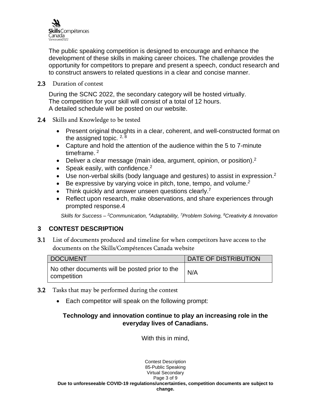

The public speaking competition is designed to encourage and enhance the development of these skills in making career choices. The challenge provides the opportunity for competitors to prepare and present a speech, conduct research and to construct answers to related questions in a clear and concise manner.

#### 2.3 Duration of contest

During the SCNC 2022, the secondary category will be hosted virtually. The competition for your skill will consist of a total of 12 hours. A detailed schedule will be posted on our website.

#### 2.4 Skills and Knowledge to be tested

- Present original thoughts in a clear, coherent, and well-constructed format on the assigned topic.  $2, 8$
- Capture and hold the attention of the audience within the 5 to 7-minute timeframe. <sup>2</sup>
- Deliver a clear message (main idea, argument, opinion, or position).<sup>2</sup>
- Speak easily, with confidence. $2$
- Use non-verbal skills (body language and gestures) to assist in expression.<sup>2</sup>
- Be expressive by varying voice in pitch, tone, tempo, and volume.*<sup>2</sup>*
- Think quickly and answer unseen questions clearly.<sup>7</sup>
- Reflect upon research, make observations, and share experiences through prompted response.4

*Skills for Success – <sup>2</sup>Communication, <sup>4</sup>Adaptability, <sup>7</sup>Problem Solving, <sup>8</sup>Creativity & Innovation*

# **3 CONTEST DESCRIPTION**

3.1 List of documents produced and timeline for when competitors have access to the documents on the Skills/Compétences Canada website

| DOCUMENT                                                      | <b>DATE OF DISTRIBUTION</b> |
|---------------------------------------------------------------|-----------------------------|
| No other documents will be posted prior to the<br>competition | N/A                         |

- 3.2 Tasks that may be performed during the contest
	- Each competitor will speak on the following prompt:

# **Technology and innovation continue to play an increasing role in the everyday lives of Canadians.**

With this in mind,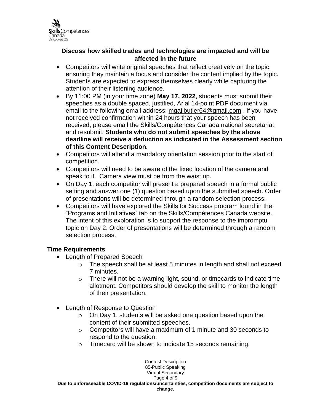

### **Discuss how skilled trades and technologies are impacted and will be affected in the future**

- Competitors will write original speeches that reflect creatively on the topic, ensuring they maintain a focus and consider the content implied by the topic. Students are expected to express themselves clearly while capturing the attention of their listening audience.
- By 11:00 PM (in your time zone) **May 17, 2022**, students must submit their speeches as a double spaced, justified, Arial 14-point PDF document via email to the following email address: [mgailbutler64@gmail.com](mailto:mgailbutler64@gmail.com) . If you have not received confirmation within 24 hours that your speech has been received, please email the Skills/Compétences Canada national secretariat and resubmit. **Students who do not submit speeches by the above deadline will receive a deduction as indicated in the Assessment section of this Content Description.**
- Competitors will attend a mandatory orientation session prior to the start of competition.
- Competitors will need to be aware of the fixed location of the camera and speak to it. Camera view must be from the waist up.
- On Day 1, each competitor will present a prepared speech in a formal public setting and answer one (1) question based upon the submitted speech. Order of presentations will be determined through a random selection process.
- Competitors will have explored the Skills for Success program found in the "Programs and Initiatives" tab on the Skills/Compétences Canada website. The intent of this exploration is to support the response to the impromptu topic on Day 2. Order of presentations will be determined through a random selection process.

# **Time Requirements**

- Length of Prepared Speech
	- o The speech shall be at least 5 minutes in length and shall not exceed 7 minutes.
	- o There will not be a warning light, sound, or timecards to indicate time allotment. Competitors should develop the skill to monitor the length of their presentation.
- Length of Response to Question
	- o On Day 1, students will be asked one question based upon the content of their submitted speeches.
	- o Competitors will have a maximum of 1 minute and 30 seconds to respond to the question.
	- o Timecard will be shown to indicate 15 seconds remaining.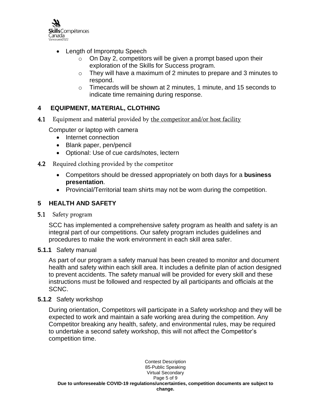

- Length of Impromptu Speech
	- $\circ$  On Day 2, competitors will be given a prompt based upon their exploration of the Skills for Success program.
	- $\circ$  They will have a maximum of 2 minutes to prepare and 3 minutes to respond.
	- $\circ$  Timecards will be shown at 2 minutes, 1 minute, and 15 seconds to indicate time remaining during response.

# **4 EQUIPMENT, MATERIAL, CLOTHING**

4.1 Equipment and material provided by the competitor and/or host facility

Computer or laptop with camera

- Internet connection
- Blank paper, pen/pencil
- Optional: Use of cue cards/notes, lectern
- 4.2 Required clothing provided by the competitor
	- Competitors should be dressed appropriately on both days for a **business presentation**.
	- Provincial/Territorial team shirts may not be worn during the competition.

### **5 HEALTH AND SAFETY**

### 5.1 Safety program

SCC has implemented a comprehensive safety program as health and safety is an integral part of our competitions. Our safety program includes guidelines and procedures to make the work environment in each skill area safer.

### **5.1.1** Safety manual

As part of our program a safety manual has been created to monitor and document health and safety within each skill area. It includes a definite plan of action designed to prevent accidents. The safety manual will be provided for every skill and these instructions must be followed and respected by all participants and officials at the SCNC.

### **5.1.2** Safety workshop

During orientation, Competitors will participate in a Safety workshop and they will be expected to work and maintain a safe working area during the competition. Any Competitor breaking any health, safety, and environmental rules, may be required to undertake a second safety workshop, this will not affect the Competitor's competition time.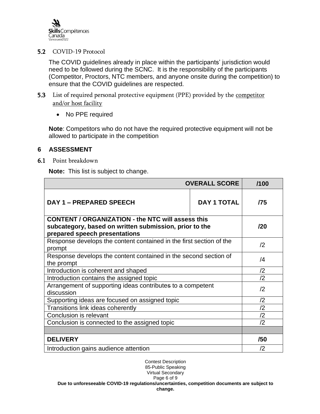

### 5.2 COVID-19 Protocol

The COVID guidelines already in place within the participants' jurisdiction would need to be followed during the SCNC. It is the responsibility of the participants (Competitor, Proctors, NTC members, and anyone onsite during the competition) to ensure that the COVID guidelines are respected.

- 5.3 List of required personal protective equipment (PPE) provided by the competitor and/or host facility
	- No PPE required

**Note**: Competitors who do not have the required protective equipment will not be allowed to participate in the competition

### **6 ASSESSMENT**

6.1 Point breakdown

**Note:** This list is subject to change.

| <b>OVERALL SCORE</b>                                                                                                                                |             | /100         |
|-----------------------------------------------------------------------------------------------------------------------------------------------------|-------------|--------------|
| <b>DAY 1 - PREPARED SPEECH</b>                                                                                                                      | DAY 1 TOTAL | /75          |
| <b>CONTENT / ORGANIZATION - the NTC will assess this</b><br>subcategory, based on written submission, prior to the<br>prepared speech presentations |             | 120          |
| Response develops the content contained in the first section of the<br>prompt                                                                       |             | /2           |
| Response develops the content contained in the second section of<br>the prompt                                                                      |             | /4           |
| Introduction is coherent and shaped                                                                                                                 |             | /2           |
| Introduction contains the assigned topic                                                                                                            |             | $\sqrt{2}$   |
| Arrangement of supporting ideas contributes to a competent<br>discussion                                                                            |             | $\sqrt{2}$   |
| Supporting ideas are focused on assigned topic                                                                                                      |             | $\sqrt{2}$   |
| Transitions link ideas coherently                                                                                                                   |             | $\sqrt{2}$   |
| Conclusion is relevant                                                                                                                              |             | $\sqrt{2}$   |
| Conclusion is connected to the assigned topic                                                                                                       |             | $\sqrt{2}$   |
|                                                                                                                                                     |             |              |
| <b>DELIVERY</b>                                                                                                                                     |             | /50          |
| Introduction gains audience attention                                                                                                               |             | $\mathbf{2}$ |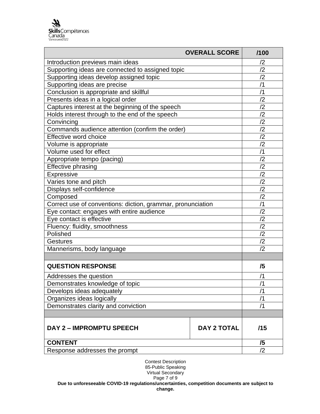| <b>OVERALL SCORE</b>                                        | /100               |                |
|-------------------------------------------------------------|--------------------|----------------|
| Introduction previews main ideas                            | /2                 |                |
| Supporting ideas are connected to assigned topic            | /2                 |                |
| Supporting ideas develop assigned topic                     |                    | $\sqrt{2}$     |
| Supporting ideas are precise                                |                    | /1             |
| Conclusion is appropriate and skillful                      |                    | /1             |
| Presents ideas in a logical order                           |                    | /2             |
| Captures interest at the beginning of the speech            |                    | /2             |
| Holds interest through to the end of the speech             |                    | /2             |
| Convincing                                                  |                    | /2             |
| Commands audience attention (confirm the order)             |                    | /2             |
| Effective word choice                                       |                    | /2             |
| Volume is appropriate                                       |                    | /2             |
| Volume used for effect                                      |                    | /1             |
| Appropriate tempo (pacing)                                  |                    | /2             |
| <b>Effective phrasing</b>                                   |                    | /2             |
| Expressive                                                  |                    | $\sqrt{2}$     |
| Varies tone and pitch                                       |                    | $\overline{2}$ |
| Displays self-confidence                                    | $\overline{2}$     |                |
| Composed                                                    | /2                 |                |
| Correct use of conventions: diction, grammar, pronunciation | /1                 |                |
| Eye contact: engages with entire audience                   |                    | /2             |
| Eye contact is effective                                    | /2                 |                |
| Fluency: fluidity, smoothness                               | /2                 |                |
| Polished                                                    |                    | /2             |
| <b>Gestures</b>                                             | /2                 |                |
| Mannerisms, body language                                   |                    | /2             |
|                                                             |                    |                |
| <b>QUESTION RESPONSE</b>                                    |                    | /5             |
| Addresses the question                                      |                    | /1             |
| Demonstrates knowledge of topic                             | /1                 |                |
| Develops ideas adequately                                   | /1                 |                |
| Organizes ideas logically                                   | /1                 |                |
| Demonstrates clarity and conviction                         |                    | /1             |
|                                                             |                    |                |
| DAY 2 - IMPROMPTU SPEECH                                    | <b>DAY 2 TOTAL</b> | /15            |
| <b>CONTENT</b>                                              |                    | /5             |
| Response addresses the prompt                               | $\sqrt{2}$         |                |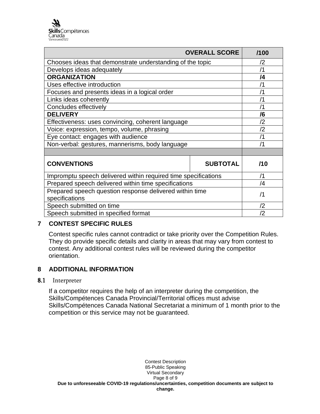| <b>OVERALL SCORE</b>                                                      | /100            |            |
|---------------------------------------------------------------------------|-----------------|------------|
| Chooses ideas that demonstrate understanding of the topic                 |                 | $\sqrt{2}$ |
| Develops ideas adequately                                                 |                 | /1         |
| <b>ORGANIZATION</b>                                                       |                 | /4         |
| Uses effective introduction                                               |                 | /1         |
| Focuses and presents ideas in a logical order                             |                 | /1         |
| Links ideas coherently                                                    |                 | /1         |
| Concludes effectively                                                     |                 | /1         |
| <b>DELIVERY</b>                                                           |                 | /6         |
| Effectiveness: uses convincing, coherent language                         |                 | /2         |
| Voice: expression, tempo, volume, phrasing                                |                 | /2         |
| Eye contact: engages with audience                                        |                 | /1         |
| Non-verbal: gestures, mannerisms, body language                           |                 | /1         |
|                                                                           |                 |            |
| <b>CONVENTIONS</b>                                                        | <b>SUBTOTAL</b> | /10        |
| Impromptu speech delivered within required time specifications            |                 | /1         |
| Prepared speech delivered within time specifications                      |                 | $\sqrt{4}$ |
| Prepared speech question response delivered within time<br>specifications |                 | /1         |
| Speech submitted on time                                                  |                 | /2         |
| Speech submitted in specified format                                      |                 | /2         |

# **7 CONTEST SPECIFIC RULES**

Contest specific rules cannot contradict or take priority over the Competition Rules. They do provide specific details and clarity in areas that may vary from contest to contest. Any additional contest rules will be reviewed during the competitor orientation.

# **8 ADDITIONAL INFORMATION**

### 8.1 Interpreter

If a competitor requires the help of an interpreter during the competition, the Skills/Compétences Canada Provincial/Territorial offices must advise Skills/Compétences Canada National Secretariat a minimum of 1 month prior to the competition or this service may not be guaranteed.